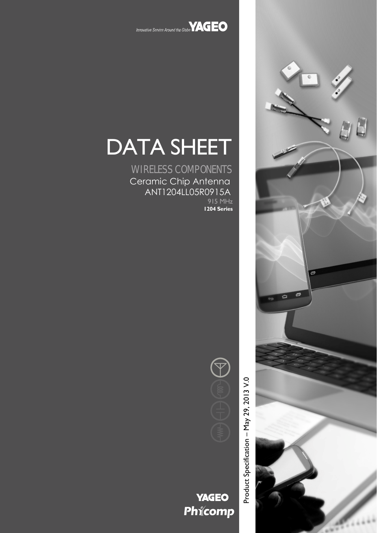

Innovative Service Around the Globe **YAGEO** 

# DATA SHEET

WIRELESS COMPONENTS Ceramic Chip Antenna ANT1204LL05R0915A 915 MHz **1204 Series**

> Product Specification - May 29, 2013 V.0 Product Specification – May 29, 2013 V.0



**YAGEO** Phicomp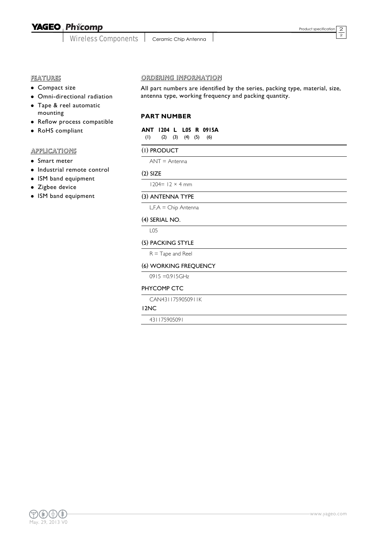# **YAGEO Phicomp**

Wireless Components | Ceramic Chip Antenna

2  $\overline{2}$ 

# FEATURES

- Compact size
- Omni-directional radiation
- Tape & reel automatic mounting
- Reflow process compatible
- RoHS compliant

# APPLICATIONS

- Smart meter
- $\bullet$  Industrial remote control
- ISM band equipment
- Zigbee device
- ISM band equipment

#### ORDERING INFORMATION

All part numbers are identified by the series, packing type, material, size, antenna type, working frequency and packing quantity.

## **PART NUMBER**

**ANT 1204 L L05 R 0915A** (1) (2) (3) (4) (5) (6)

#### (1) PRODUCT

ANT = Antenna

#### (2) SIZE

 $1204 = 12 \times 4$  mm

#### (3) ANTENNA TYPE

L,F,A = Chip Antenna

#### (4) SERIAL NO.

L05

#### (5) PACKING STYLE

 $R =$ Tape and Reel

#### (6) WORKING FREQUENCY

0915 =0.915GHz

#### PHYCOMP CTC

CAN4311759050911K

12NC

431175905091

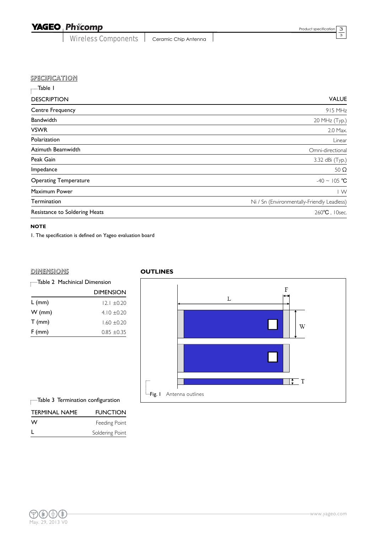# YAGEO Phicomp

Wireless Components | Ceramic Chip Antenna

 $\overline{\phantom{a}}$ 

3 3

| <b>VALUE</b>                                |
|---------------------------------------------|
| 915 MHz                                     |
| 20 MHz (Typ.)                               |
| 2.0 Max.                                    |
| Linear                                      |
| Omni-directional                            |
| 3.32 dBi (Typ.)                             |
| 50 $\Omega$                                 |
| $-40 \sim 105$ °C                           |
| $\mid$ W                                    |
| Ni / Sn (Environmentally-Friendly Leadless) |
| 260°C, 10sec.                               |
|                                             |

#### **NOTE**

1. The specification is defined on Yageo evaluation board

### **DIMENSIONS**

|          | Table 2 Machinical Dimension |  |
|----------|------------------------------|--|
|          | <b>DIMENSION</b>             |  |
| $L$ (mm) | $12.1 \pm 0.20$              |  |
| $W$ (mm) | $4.10 \pm 0.20$              |  |
| $T$ (mm) | $1.60 \pm 0.20$              |  |
| $F$ (mm) | $0.85 \pm 0.35$              |  |
|          |                              |  |

#### **OUTLINES**



Table 3 Termination configuration

| <b>TERMINAL NAME</b> | <b>FUNCTION</b> |
|----------------------|-----------------|
| W                    | Feeding Point   |
|                      | Soldering Point |

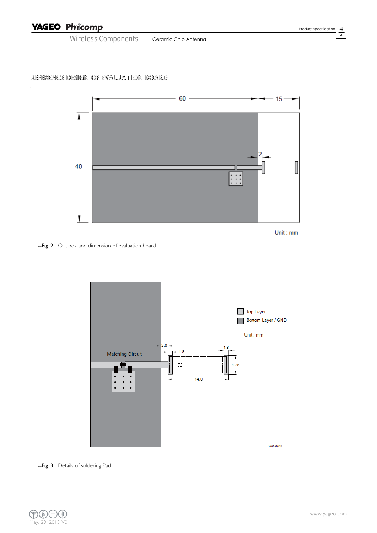| <b>YAGEO Phicomp</b>       |                      | Product specification   4 |  |
|----------------------------|----------------------|---------------------------|--|
| <b>Wireless Components</b> | Ceramic Chip Antenna |                           |  |

# REFERENCE DESIGN OF EVALUATION BOARD





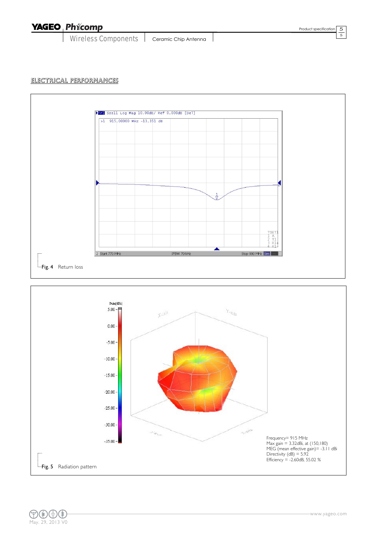YAGEO Phicomp

Wireless Components | Ceramic Chip Antenna

5 5

## ELECTRICAL PERFORMANCES